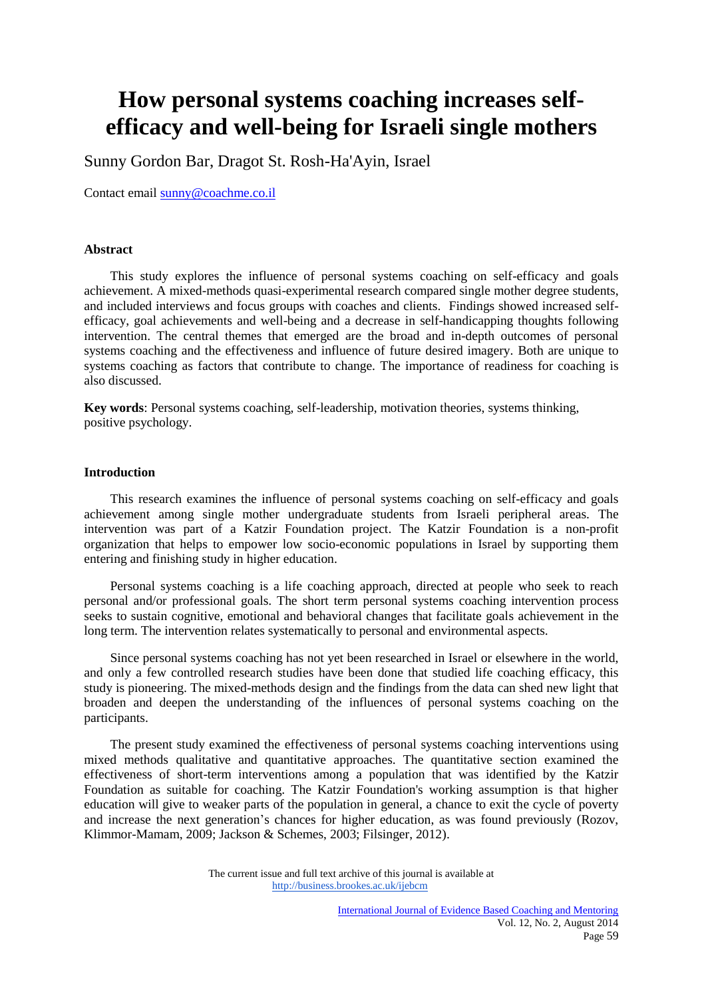# **How personal systems coaching increases selfefficacy and well-being for Israeli single mothers**

Sunny Gordon Bar, Dragot St. Rosh-Ha'Ayin, Israel

Contact email [sunny@coachme.co.il](mailto:sunny@coachme.co.il)

## **Abstract**

This study explores the influence of personal systems coaching on self-efficacy and goals achievement. A mixed-methods quasi-experimental research compared single mother degree students, and included interviews and focus groups with coaches and clients. Findings showed increased selfefficacy, goal achievements and well-being and a decrease in self-handicapping thoughts following intervention. The central themes that emerged are the broad and in-depth outcomes of personal systems coaching and the effectiveness and influence of future desired imagery. Both are unique to systems coaching as factors that contribute to change. The importance of readiness for coaching is also discussed.

**Key words**: Personal systems coaching, self-leadership, motivation theories, systems thinking, positive psychology.

## **Introduction**

This research examines the influence of personal systems coaching on self-efficacy and goals achievement among single mother undergraduate students from Israeli peripheral areas. The intervention was part of a Katzir Foundation project. The Katzir Foundation is a non-profit organization that helps to empower low socio-economic populations in Israel by supporting them entering and finishing study in higher education.

Personal systems coaching is a life coaching approach, directed at people who seek to reach personal and/or professional goals. The short term personal systems coaching intervention process seeks to sustain cognitive, emotional and behavioral changes that facilitate goals achievement in the long term. The intervention relates systematically to personal and environmental aspects.

 Since personal systems coaching has not yet been researched in Israel or elsewhere in the world, and only a few controlled research studies have been done that studied life coaching efficacy, this study is pioneering. The mixed-methods design and the findings from the data can shed new light that broaden and deepen the understanding of the influences of personal systems coaching on the participants.

The present study examined the effectiveness of personal systems coaching interventions using mixed methods qualitative and quantitative approaches. The quantitative section examined the effectiveness of short-term interventions among a population that was identified by the Katzir Foundation as suitable for coaching. The Katzir Foundation's working assumption is that higher education will give to weaker parts of the population in general, a chance to exit the cycle of poverty and increase the next generation's chances for higher education, as was found previously (Rozov, Klimmor-Mamam, 2009; Jackson & Schemes, 2003; Filsinger, 2012).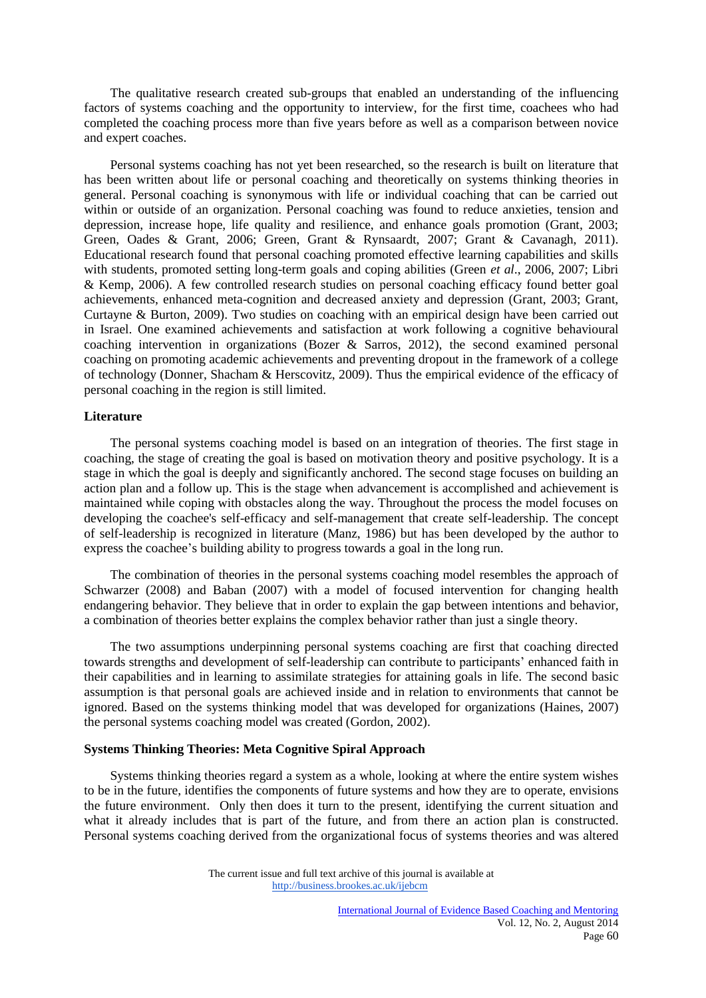The qualitative research created sub-groups that enabled an understanding of the influencing factors of systems coaching and the opportunity to interview, for the first time, coachees who had completed the coaching process more than five years before as well as a comparison between novice and expert coaches.

 Personal systems coaching has not yet been researched, so the research is built on literature that has been written about life or personal coaching and theoretically on systems thinking theories in general. Personal coaching is synonymous with life or individual coaching that can be carried out within or outside of an organization. Personal coaching was found to reduce anxieties, tension and depression, increase hope, life quality and resilience, and enhance goals promotion (Grant, 2003; Green, Oades & Grant, 2006; Green, Grant & Rynsaardt, 2007; Grant & Cavanagh, 2011). Educational research found that personal coaching promoted effective learning capabilities and skills with students, promoted setting long-term goals and coping abilities (Green *et al*., 2006, 2007; Libri & Kemp, 2006). A few controlled research studies on personal coaching efficacy found better goal achievements, enhanced meta-cognition and decreased anxiety and depression (Grant, 2003; Grant, Curtayne & Burton, 2009). Two studies on coaching with an empirical design have been carried out in Israel. One examined achievements and satisfaction at work following a cognitive behavioural coaching intervention in organizations (Bozer & Sarros, 2012), the second examined personal coaching on promoting academic achievements and preventing dropout in the framework of a college of technology (Donner, Shacham & Herscovitz, 2009). Thus the empirical evidence of the efficacy of personal coaching in the region is still limited.

#### **Literature**

 The personal systems coaching model is based on an integration of theories. The first stage in coaching, the stage of creating the goal is based on motivation theory and positive psychology. It is a stage in which the goal is deeply and significantly anchored. The second stage focuses on building an action plan and a follow up. This is the stage when advancement is accomplished and achievement is maintained while coping with obstacles along the way. Throughout the process the model focuses on developing the coachee's self-efficacy and self-management that create self-leadership. The concept of self-leadership is recognized in literature (Manz, 1986) but has been developed by the author to express the coachee's building ability to progress towards a goal in the long run.

 The combination of theories in the personal systems coaching model resembles the approach of Schwarzer (2008) and Baban (2007) with a model of focused intervention for changing health endangering behavior. They believe that in order to explain the gap between intentions and behavior, a combination of theories better explains the complex behavior rather than just a single theory.

 The two assumptions underpinning personal systems coaching are first that coaching directed towards strengths and development of self-leadership can contribute to participants' enhanced faith in their capabilities and in learning to assimilate strategies for attaining goals in life. The second basic assumption is that personal goals are achieved inside and in relation to environments that cannot be ignored. Based on the systems thinking model that was developed for organizations (Haines, 2007) the personal systems coaching model was created (Gordon, 2002).

# **Systems Thinking Theories: Meta Cognitive Spiral Approach**

Systems thinking theories regard a system as a whole, looking at where the entire system wishes to be in the future, identifies the components of future systems and how they are to operate, envisions the future environment. Only then does it turn to the present, identifying the current situation and what it already includes that is part of the future, and from there an action plan is constructed. Personal systems coaching derived from the organizational focus of systems theories and was altered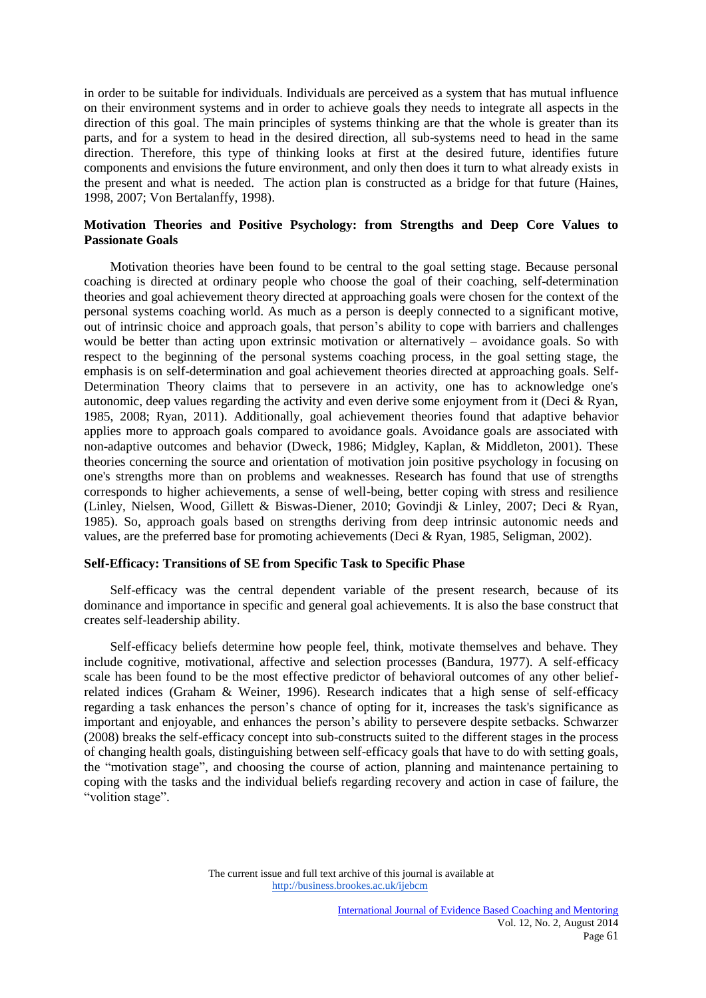in order to be suitable for individuals. Individuals are perceived as a system that has mutual influence on their environment systems and in order to achieve goals they needs to integrate all aspects in the direction of this goal. The main principles of systems thinking are that the whole is greater than its parts, and for a system to head in the desired direction, all sub-systems need to head in the same direction. Therefore, this type of thinking looks at first at the desired future, identifies future components and envisions the future environment, and only then does it turn to what already exists in the present and what is needed. The action plan is constructed as a bridge for that future (Haines, 1998, 2007; Von Bertalanffy, 1998).

## **Motivation Theories and Positive Psychology: from Strengths and Deep Core Values to Passionate Goals**

Motivation theories have been found to be central to the goal setting stage. Because personal coaching is directed at ordinary people who choose the goal of their coaching, self-determination theories and goal achievement theory directed at approaching goals were chosen for the context of the personal systems coaching world. As much as a person is deeply connected to a significant motive, out of intrinsic choice and approach goals, that person's ability to cope with barriers and challenges would be better than acting upon extrinsic motivation or alternatively – avoidance goals. So with respect to the beginning of the personal systems coaching process, in the goal setting stage, the emphasis is on self-determination and goal achievement theories directed at approaching goals. Self-Determination Theory claims that to persevere in an activity, one has to acknowledge one's autonomic, deep values regarding the activity and even derive some enjoyment from it (Deci & Ryan, 1985, 2008; Ryan, 2011). Additionally, goal achievement theories found that adaptive behavior applies more to approach goals compared to avoidance goals. Avoidance goals are associated with non-adaptive outcomes and behavior (Dweck, 1986; Midgley, Kaplan, & Middleton, 2001). These theories concerning the source and orientation of motivation join positive psychology in focusing on one's strengths more than on problems and weaknesses. Research has found that use of strengths corresponds to higher achievements, a sense of well-being, better coping with stress and resilience (Linley, Nielsen, Wood, Gillett & Biswas-Diener, 2010; Govindji & Linley, 2007; Deci & Ryan, 1985). So, approach goals based on strengths deriving from deep intrinsic autonomic needs and values, are the preferred base for promoting achievements (Deci & Ryan, 1985, Seligman, 2002).

# **Self-Efficacy: Transitions of SE from Specific Task to Specific Phase**

Self-efficacy was the central dependent variable of the present research, because of its dominance and importance in specific and general goal achievements. It is also the base construct that creates self-leadership ability.

Self-efficacy beliefs determine how people feel, think, motivate themselves and behave. They include cognitive, motivational, affective and selection processes (Bandura, 1977). A self-efficacy scale has been found to be the most effective predictor of behavioral outcomes of any other beliefrelated indices (Graham & Weiner, 1996). Research indicates that a high sense of self-efficacy regarding a task enhances the person's chance of opting for it, increases the task's significance as important and enjoyable, and enhances the person's ability to persevere despite setbacks. Schwarzer (2008) breaks the self-efficacy concept into sub-constructs suited to the different stages in the process of changing health goals, distinguishing between self-efficacy goals that have to do with setting goals, the "motivation stage", and choosing the course of action, planning and maintenance pertaining to coping with the tasks and the individual beliefs regarding recovery and action in case of failure, the "volition stage".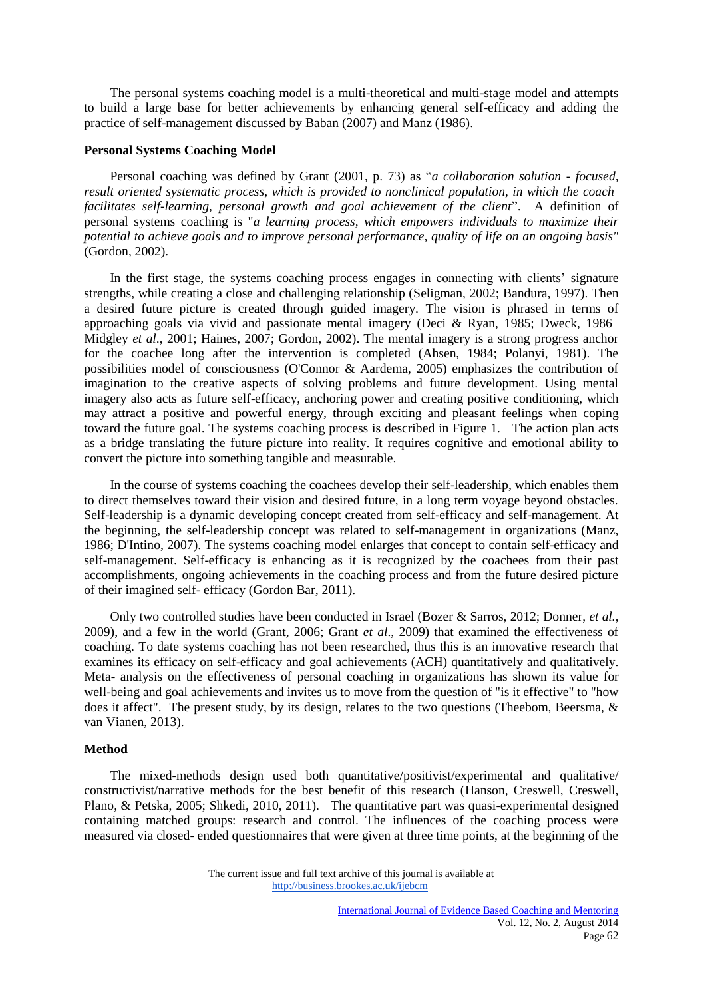The personal systems coaching model is a multi-theoretical and multi-stage model and attempts to build a large base for better achievements by enhancing general self-efficacy and adding the practice of self-management discussed by Baban (2007) and Manz (1986).

## **Personal Systems Coaching Model**

Personal coaching was defined by Grant (2001, p. 73) as "*a collaboration solution - focused, result oriented systematic process, which is provided to nonclinical population, in which the coach facilitates self-learning, personal growth and goal achievement of the client*".A definition of personal systems coaching is "*a learning process, which empowers individuals to maximize their potential to achieve goals and to improve personal performance, quality of life on an ongoing basis"* (Gordon, 2002).

 In the first stage, the systems coaching process engages in connecting with clients' signature strengths, while creating a close and challenging relationship (Seligman, 2002; Bandura, 1997). Then a desired future picture is created through guided imagery. The vision is phrased in terms of approaching goals via vivid and passionate mental imagery (Deci & Ryan, 1985; Dweck, 1986 Midgley *et al*., 2001; Haines, 2007; Gordon, 2002). The mental imagery is a strong progress anchor for the coachee long after the intervention is completed (Ahsen, 1984; Polanyi, 1981). The possibilities model of consciousness (O'Connor & Aardema, 2005) emphasizes the contribution of imagination to the creative aspects of solving problems and future development. Using mental imagery also acts as future self-efficacy, anchoring power and creating positive conditioning, which may attract a positive and powerful energy, through exciting and pleasant feelings when coping toward the future goal. The systems coaching process is described in Figure 1. The action plan acts as a bridge translating the future picture into reality. It requires cognitive and emotional ability to convert the picture into something tangible and measurable.

 In the course of systems coaching the coachees develop their self-leadership, which enables them to direct themselves toward their vision and desired future, in a long term voyage beyond obstacles. Self-leadership is a dynamic developing concept created from self-efficacy and self-management. At the beginning, the self-leadership concept was related to self-management in organizations (Manz, 1986; D'Intino, 2007). The systems coaching model enlarges that concept to contain self-efficacy and self-management. Self-efficacy is enhancing as it is recognized by the coachees from their past accomplishments, ongoing achievements in the coaching process and from the future desired picture of their imagined self- efficacy (Gordon Bar, 2011).

 Only two controlled studies have been conducted in Israel (Bozer & Sarros, 2012; Donner, *et al.*, 2009), and a few in the world (Grant, 2006; Grant *et al*., 2009) that examined the effectiveness of coaching. To date systems coaching has not been researched, thus this is an innovative research that examines its efficacy on self-efficacy and goal achievements (ACH) quantitatively and qualitatively. Meta- analysis on the effectiveness of personal coaching in organizations has shown its value for well-being and goal achievements and invites us to move from the question of "is it effective" to "how does it affect". The present study, by its design, relates to the two questions (Theebom*,* Beersma, & van Vianen, 2013).

#### **Method**

The mixed-methods design used both quantitative/positivist/experimental and qualitative/ constructivist/narrative methods for the best benefit of this research (Hanson, Creswell, Creswell, Plano, & Petska, 2005; Shkedi, 2010, 2011).The quantitative part was quasi-experimental designed containing matched groups: research and control. The influences of the coaching process were measured via closed- ended questionnaires that were given at three time points, at the beginning of the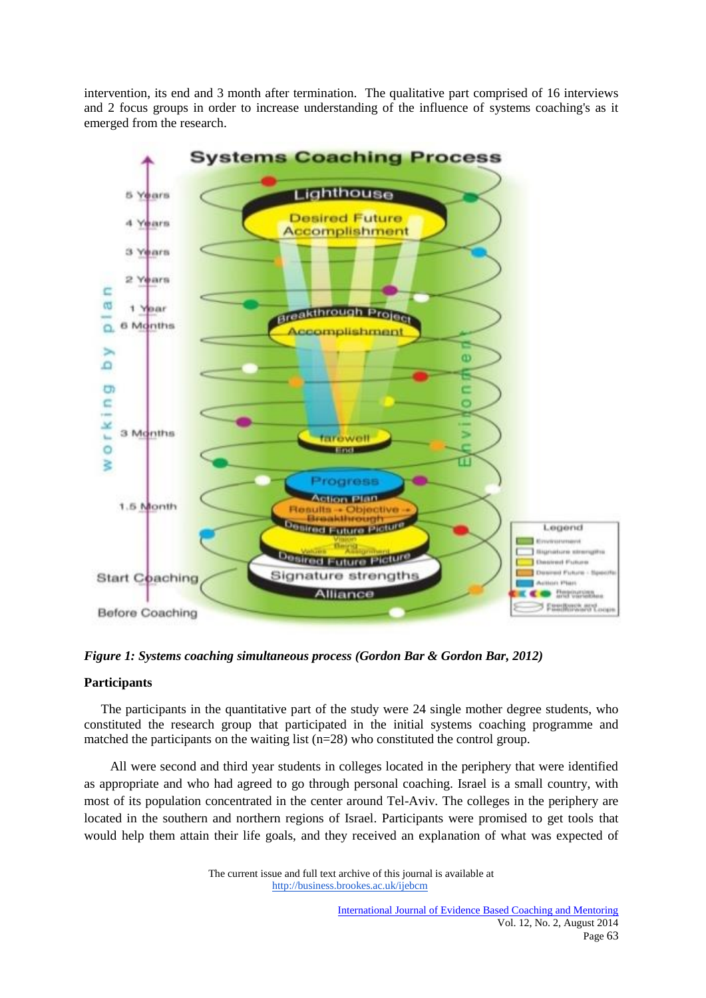intervention, its end and 3 month after termination. The qualitative part comprised of 16 interviews and 2 focus groups in order to increase understanding of the influence of systems coaching's as it emerged from the research.



*Figure 1: Systems coaching simultaneous process (Gordon Bar & Gordon Bar, 2012)*

# **Participants**

The participants in the quantitative part of the study were 24 single mother degree students, who constituted the research group that participated in the initial systems coaching programme and matched the participants on the waiting list (n=28) who constituted the control group.

All were second and third year students in colleges located in the periphery that were identified as appropriate and who had agreed to go through personal coaching. Israel is a small country, with most of its population concentrated in the center around Tel-Aviv. The colleges in the periphery are located in the southern and northern regions of Israel. Participants were promised to get tools that would help them attain their life goals, and they received an explanation of what was expected of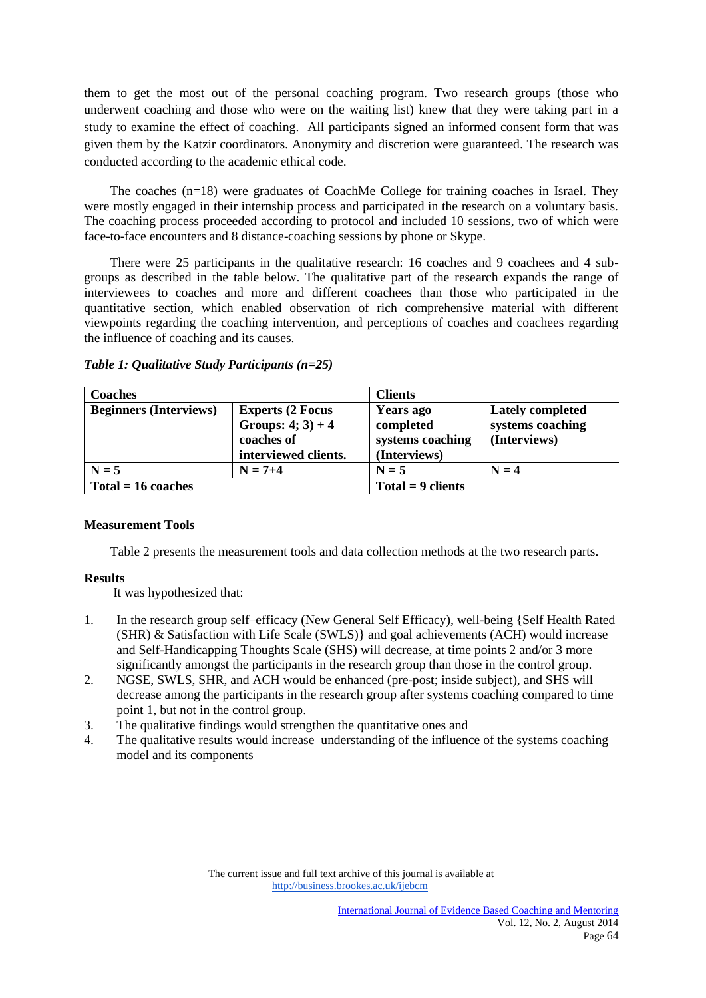them to get the most out of the personal coaching program. Two research groups (those who underwent coaching and those who were on the waiting list) knew that they were taking part in a study to examine the effect of coaching. All participants signed an informed consent form that was given them by the Katzir coordinators. Anonymity and discretion were guaranteed. The research was conducted according to the academic ethical code.

 The coaches (n=18) were graduates of CoachMe College for training coaches in Israel. They were mostly engaged in their internship process and participated in the research on a voluntary basis. The coaching process proceeded according to protocol and included 10 sessions, two of which were face-to-face encounters and 8 distance-coaching sessions by phone or Skype.

 There were 25 participants in the qualitative research: 16 coaches and 9 coachees and 4 subgroups as described in the table below. The qualitative part of the research expands the range of interviewees to coaches and more and different coachees than those who participated in the quantitative section, which enabled observation of rich comprehensive material with different viewpoints regarding the coaching intervention, and perceptions of coaches and coachees regarding the influence of coaching and its causes.

| <b>Coaches</b>                |                                                                                         | <b>Clients</b>                                             |                                                             |
|-------------------------------|-----------------------------------------------------------------------------------------|------------------------------------------------------------|-------------------------------------------------------------|
| <b>Beginners (Interviews)</b> | <b>Experts (2 Focus</b><br>Groups: $4$ ; $3) + 4$<br>coaches of<br>interviewed clients. | Years ago<br>completed<br>systems coaching<br>(Interviews) | <b>Lately completed</b><br>systems coaching<br>(Interviews) |
| $N = 5$                       | $N = 7+4$                                                                               | $N = 5$                                                    | $N = 4$                                                     |
| $Total = 16 coaches$          |                                                                                         | $Total = 9 clients$                                        |                                                             |

*Table 1: Qualitative Study Participants (n=25)*

# **Measurement Tools**

Table 2 presents the measurement tools and data collection methods at the two research parts.

# **Results**

It was hypothesized that:

- 1. In the research group self–efficacy (New General Self Efficacy), well-being {Self Health Rated (SHR) & Satisfaction with Life Scale (SWLS)} and goal achievements (ACH) would increase and Self-Handicapping Thoughts Scale (SHS) will decrease, at time points 2 and/or 3 more significantly amongst the participants in the research group than those in the control group.
- 2. NGSE, SWLS, SHR, and ACH would be enhanced (pre-post; inside subject), and SHS will decrease among the participants in the research group after systems coaching compared to time point 1, but not in the control group.
- 3. The qualitative findings would strengthen the quantitative ones and
- 4. The qualitative results would increase understanding of the influence of the systems coaching model and its components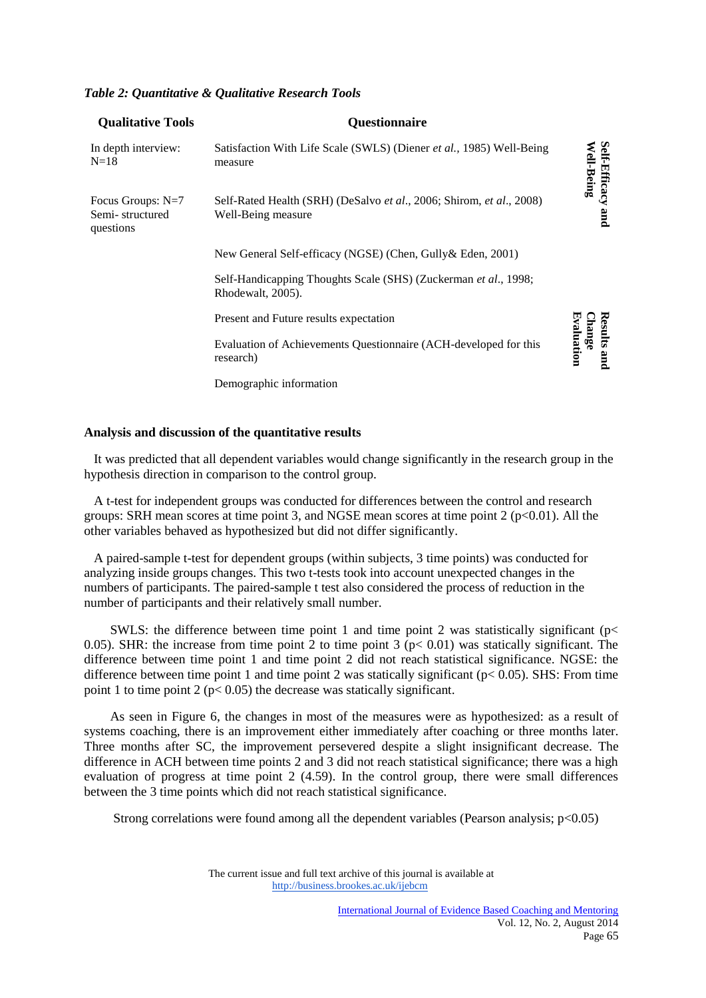| Tubic 2. Ouannaan e a Ouannaire Research Tools |                      |  |  |
|------------------------------------------------|----------------------|--|--|
| <b>Qualitative Tools</b>                       | <b>Ouestionnaire</b> |  |  |

*Table 2: Quantitative & Qualitative Research Tools*

| In depth interview:<br>$N=18$                     | Satisfaction With Life Scale (SWLS) (Diener et al., 1985) Well-Being<br>measure            | <b>Self-Efficacy</b><br>Well-Being  |
|---------------------------------------------------|--------------------------------------------------------------------------------------------|-------------------------------------|
| Focus Groups: N=7<br>Semi-structured<br>questions | Self-Rated Health (SRH) (DeSalvo et al., 2006; Shirom, et al., 2008)<br>Well-Being measure | pure                                |
|                                                   | New General Self-efficacy (NGSE) (Chen, Gully & Eden, 2001)                                |                                     |
|                                                   | Self-Handicapping Thoughts Scale (SHS) (Zuckerman et al., 1998;<br>Rhodewalt, 2005).       |                                     |
|                                                   | Present and Future results expectation                                                     |                                     |
|                                                   | Evaluation of Achievements Questionnaire (ACH-developed for this<br>research)              | nange<br>raluation<br>sults<br>pure |
|                                                   | Demographic information                                                                    |                                     |

# **Analysis and discussion of the quantitative results**

 It was predicted that all dependent variables would change significantly in the research group in the hypothesis direction in comparison to the control group.

 A t-test for independent groups was conducted for differences between the control and research groups: SRH mean scores at time point 3, and NGSE mean scores at time point  $2 \times 0.01$ . All the other variables behaved as hypothesized but did not differ significantly.

 A paired-sample t-test for dependent groups (within subjects, 3 time points) was conducted for analyzing inside groups changes. This two t-tests took into account unexpected changes in the numbers of participants. The paired-sample t test also considered the process of reduction in the number of participants and their relatively small number.

SWLS: the difference between time point 1 and time point 2 was statistically significant ( $p$ < 0.05). SHR: the increase from time point 2 to time point 3 ( $p < 0.01$ ) was statically significant. The difference between time point 1 and time point 2 did not reach statistical significance. NGSE: the difference between time point 1 and time point 2 was statically significant ( $p < 0.05$ ). SHS: From time point 1 to time point 2 ( $p < 0.05$ ) the decrease was statically significant.

 As seen in Figure 6, the changes in most of the measures were as hypothesized: as a result of systems coaching, there is an improvement either immediately after coaching or three months later. Three months after SC, the improvement persevered despite a slight insignificant decrease. The difference in ACH between time points 2 and 3 did not reach statistical significance; there was a high evaluation of progress at time point 2 (4.59). In the control group, there were small differences between the 3 time points which did not reach statistical significance.

Strong correlations were found among all the dependent variables (Pearson analysis; p<0.05)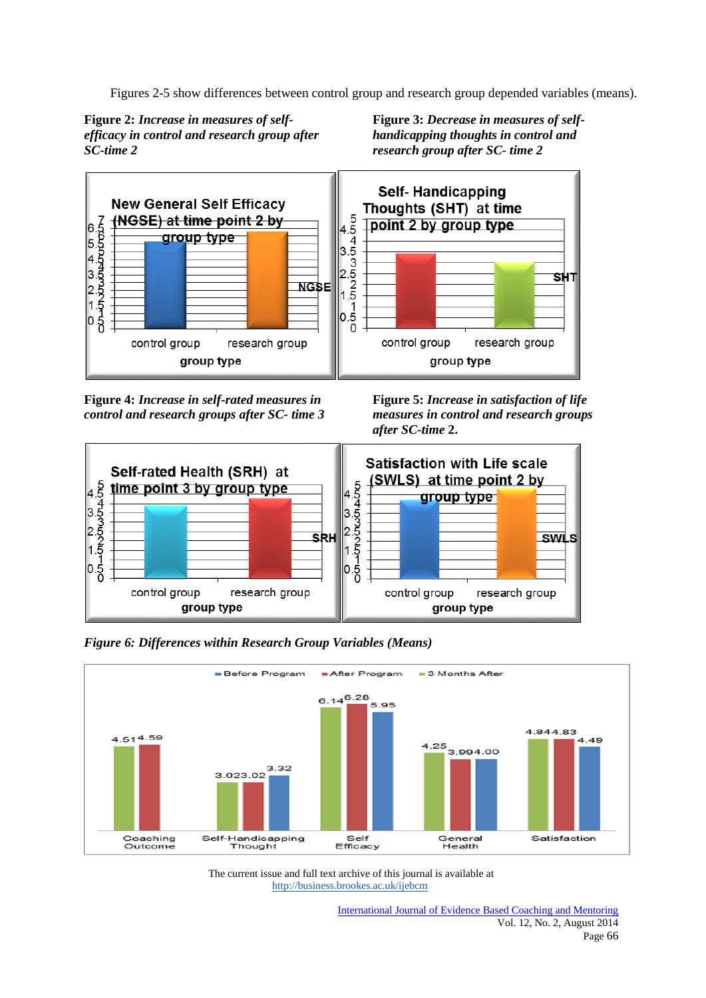Figures 2-5 show differences between control group and research group depended variables (means).



**Figure 3:** *Decrease in measures of selfhandicapping thoughts in control and research group after SC- time 2*



**Figure 4:** *Increase in self-rated measures in control and research groups after SC- time 3* **Figure 5:** *Increase in satisfaction of life measures in control and research groups after SC-time* **2.** 



*Figure 6: Differences within Research Group Variables (Means)*

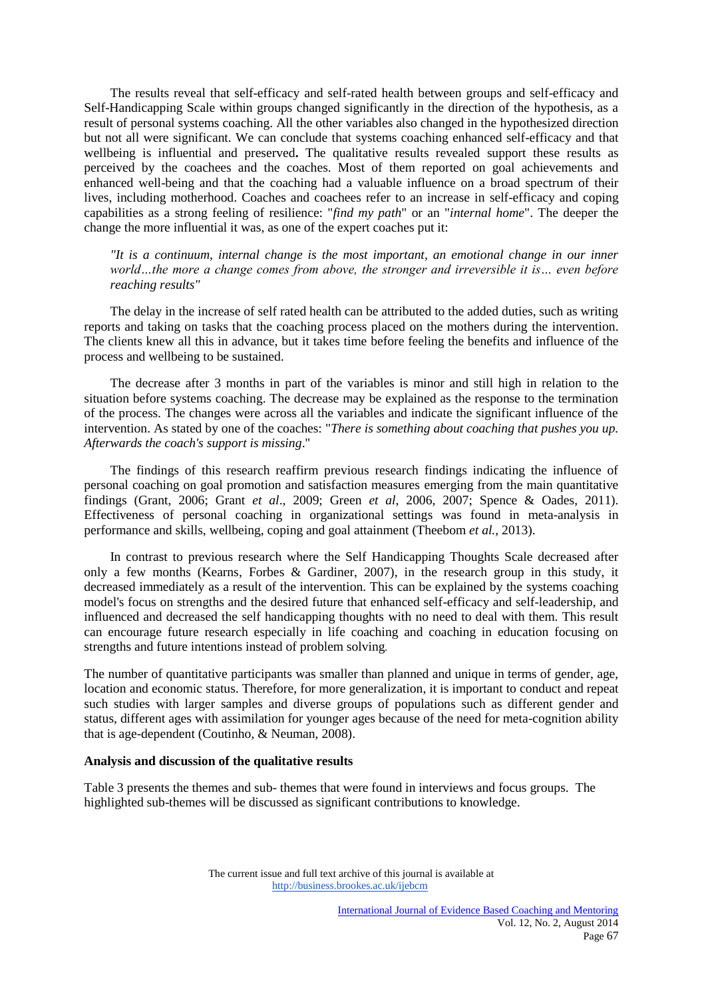The results reveal that self-efficacy and self-rated health between groups and self-efficacy and Self-Handicapping Scale within groups changed significantly in the direction of the hypothesis, as a result of personal systems coaching. All the other variables also changed in the hypothesized direction but not all were significant. We can conclude that systems coaching enhanced self-efficacy and that wellbeing is influential and preserved**.** The qualitative results revealed support these results as perceived by the coachees and the coaches. Most of them reported on goal achievements and enhanced well-being and that the coaching had a valuable influence on a broad spectrum of their lives, including motherhood. Coaches and coachees refer to an increase in self-efficacy and coping capabilities as a strong feeling of resilience: "*find my path*" or an "*internal home*". The deeper the change the more influential it was, as one of the expert coaches put it:

 *"It is a continuum, internal change is the most important, an emotional change in our inner world…the more a change comes from above, the stronger and irreversible it is… even before reaching results"*

The delay in the increase of self rated health can be attributed to the added duties, such as writing reports and taking on tasks that the coaching process placed on the mothers during the intervention. The clients knew all this in advance, but it takes time before feeling the benefits and influence of the process and wellbeing to be sustained.

The decrease after 3 months in part of the variables is minor and still high in relation to the situation before systems coaching. The decrease may be explained as the response to the termination of the process. The changes were across all the variables and indicate the significant influence of the intervention. As stated by one of the coaches: "*There is something about coaching that pushes you up. Afterwards the coach's support is missing*."

The findings of this research reaffirm previous research findings indicating the influence of personal coaching on goal promotion and satisfaction measures emerging from the main quantitative findings (Grant, 2006; Grant *et al*., 2009; Green *et al*, 2006, 2007; Spence & Oades, 2011). Effectiveness of personal coaching in organizational settings was found in meta-analysis in performance and skills, wellbeing, coping and goal attainment (Theebom *et al.,* 2013).

In contrast to previous research where the Self Handicapping Thoughts Scale decreased after only a few months (Kearns, Forbes & Gardiner, 2007), in the research group in this study, it decreased immediately as a result of the intervention. This can be explained by the systems coaching model's focus on strengths and the desired future that enhanced self-efficacy and self-leadership, and influenced and decreased the self handicapping thoughts with no need to deal with them. This result can encourage future research especially in life coaching and coaching in education focusing on strengths and future intentions instead of problem solving*.*

The number of quantitative participants was smaller than planned and unique in terms of gender, age, location and economic status. Therefore, for more generalization, it is important to conduct and repeat such studies with larger samples and diverse groups of populations such as different gender and status, different ages with assimilation for younger ages because of the need for meta-cognition ability that is age-dependent (Coutinho, & Neuman, 2008).

#### **Analysis and discussion of the qualitative results**

Table 3 presents the themes and sub- themes that were found in interviews and focus groups. The highlighted sub-themes will be discussed as significant contributions to knowledge.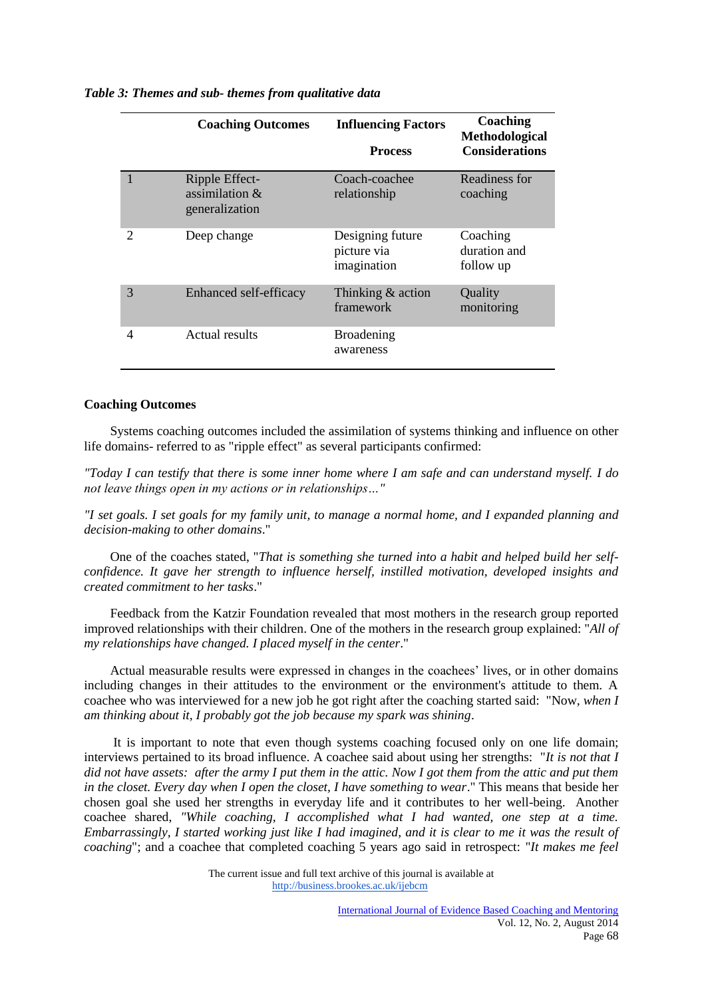|                             | <b>Coaching Outcomes</b>                              | <b>Influencing Factors</b><br><b>Process</b>   | Coaching<br>Methodological<br><b>Considerations</b> |
|-----------------------------|-------------------------------------------------------|------------------------------------------------|-----------------------------------------------------|
|                             | Ripple Effect-<br>assimilation $\&$<br>generalization | Coach-coachee<br>relationship                  | Readiness for<br>coaching                           |
| $\mathcal{D}_{\mathcal{A}}$ | Deep change                                           | Designing future<br>picture via<br>imagination | Coaching<br>duration and<br>follow up               |
| 3                           | Enhanced self-efficacy                                | Thinking $&$ action<br>framework               | Quality<br>monitoring                               |
| 4                           | Actual results                                        | <b>Broadening</b><br>awareness                 |                                                     |

*Table 3: Themes and sub- themes from qualitative data*

#### **Coaching Outcomes**

Systems coaching outcomes included the assimilation of systems thinking and influence on other life domains- referred to as "ripple effect" as several participants confirmed:

*"Today I can testify that there is some inner home where I am safe and can understand myself. I do not leave things open in my actions or in relationships…"* 

*"I set goals. I set goals for my family unit, to manage a normal home, and I expanded planning and decision-making to other domains*."

One of the coaches stated, "*That is something she turned into a habit and helped build her selfconfidence. It gave her strength to influence herself, instilled motivation, developed insights and created commitment to her tasks*."

 Feedback from the Katzir Foundation revealed that most mothers in the research group reported improved relationships with their children. One of the mothers in the research group explained: "*All of my relationships have changed. I placed myself in the center*."

 Actual measurable results were expressed in changes in the coachees' lives, or in other domains including changes in their attitudes to the environment or the environment's attitude to them. A coachee who was interviewed for a new job he got right after the coaching started said: "Now*, when I am thinking about it, I probably got the job because my spark was shining*.

It is important to note that even though systems coaching focused only on one life domain; interviews pertained to its broad influence. A coachee said about using her strengths: "*It is not that I did not have assets: after the army I put them in the attic. Now I got them from the attic and put them in the closet. Every day when I open the closet, I have something to wear*." This means that beside her chosen goal she used her strengths in everyday life and it contributes to her well-being. Another coachee shared, *"While coaching, I accomplished what I had wanted, one step at a time. Embarrassingly, I started working just like I had imagined, and it is clear to me it was the result of coaching*"; and a coachee that completed coaching 5 years ago said in retrospect: "*It makes me feel*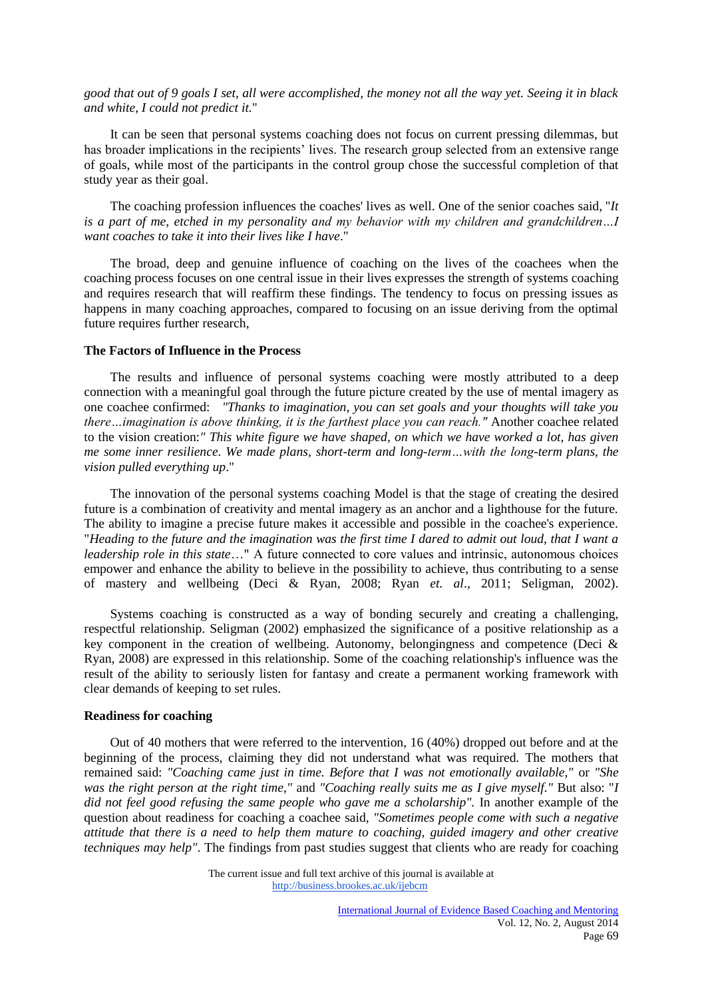*good that out of 9 goals I set, all were accomplished, the money not all the way yet. Seeing it in black and white, I could not predict it.*"

 It can be seen that personal systems coaching does not focus on current pressing dilemmas, but has broader implications in the recipients' lives. The research group selected from an extensive range of goals, while most of the participants in the control group chose the successful completion of that study year as their goal.

The coaching profession influences the coaches' lives as well. One of the senior coaches said, "*It is a part of me, etched in my personality and my behavior with my children and grandchildren…I want coaches to take it into their lives like I have*."

The broad, deep and genuine influence of coaching on the lives of the coachees when the coaching process focuses on one central issue in their lives expresses the strength of systems coaching and requires research that will reaffirm these findings. The tendency to focus on pressing issues as happens in many coaching approaches, compared to focusing on an issue deriving from the optimal future requires further research,

## **The Factors of Influence in the Process**

The results and influence of personal systems coaching were mostly attributed to a deep connection with a meaningful goal through the future picture created by the use of mental imagery as one coachee confirmed: *"Thanks to imagination, you can set goals and your thoughts will take you there…imagination is above thinking, it is the farthest place you can reach."* Another coachee related to the vision creation:*" This white figure we have shaped, on which we have worked a lot, has given me some inner resilience. We made plans, short-term and long-term…with the long-term plans, the vision pulled everything up*."

The innovation of the personal systems coaching Model is that the stage of creating the desired future is a combination of creativity and mental imagery as an anchor and a lighthouse for the future. The ability to imagine a precise future makes it accessible and possible in the coachee's experience. "*Heading to the future and the imagination was the first time I dared to admit out loud, that I want a leadership role in this state*…" A future connected to core values and intrinsic, autonomous choices empower and enhance the ability to believe in the possibility to achieve, thus contributing to a sense of mastery and wellbeing (Deci & Ryan, 2008; Ryan *et. al*., 2011; Seligman, 2002).

 Systems coaching is constructed as a way of bonding securely and creating a challenging, respectful relationship. Seligman (2002) emphasized the significance of a positive relationship as a key component in the creation of wellbeing. Autonomy, belongingness and competence (Deci & Ryan, 2008) are expressed in this relationship. Some of the coaching relationship's influence was the result of the ability to seriously listen for fantasy and create a permanent working framework with clear demands of keeping to set rules.

#### **Readiness for coaching**

Out of 40 mothers that were referred to the intervention, 16 (40%) dropped out before and at the beginning of the process, claiming they did not understand what was required. The mothers that remained said: *"Coaching came just in time. Before that I was not emotionally available,"* or *"She was the right person at the right time,"* and *"Coaching really suits me as I give myself."* But also: "*I*  did not feel good refusing the same people who gave me a scholarship". In another example of the question about readiness for coaching a coachee said, *"Sometimes people come with such a negative attitude that there is a need to help them mature to coaching, guided imagery and other creative techniques may help"*. The findings from past studies suggest that clients who are ready for coaching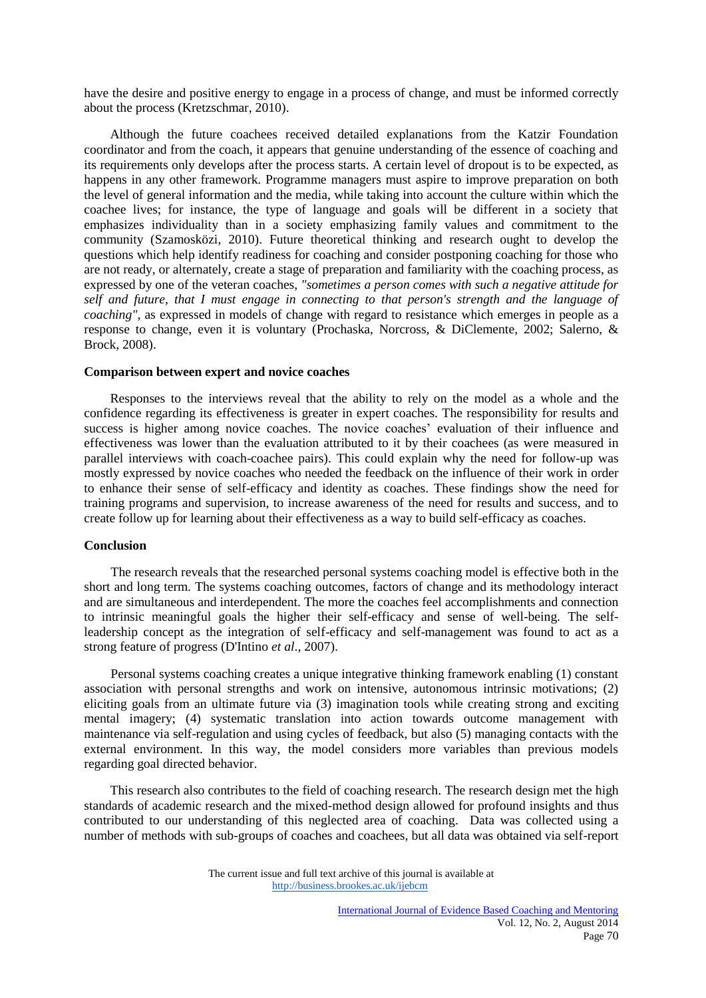have the desire and positive energy to engage in a process of change, and must be informed correctly about the process (Kretzschmar, 2010).

Although the future coachees received detailed explanations from the Katzir Foundation coordinator and from the coach, it appears that genuine understanding of the essence of coaching and its requirements only develops after the process starts. A certain level of dropout is to be expected, as happens in any other framework. Programme managers must aspire to improve preparation on both the level of general information and the media, while taking into account the culture within which the coachee lives; for instance, the type of language and goals will be different in a society that emphasizes individuality than in a society emphasizing family values and commitment to the community (Szamosközi, 2010). Future theoretical thinking and research ought to develop the questions which help identify readiness for coaching and consider postponing coaching for those who are not ready, or alternately, create a stage of preparation and familiarity with the coaching process, as expressed by one of the veteran coaches, *"sometimes a person comes with such a negative attitude for self and future, that I must engage in connecting to that person's strength and the language of coaching"*, as expressed in models of change with regard to resistance which emerges in people as a response to change, even it is voluntary (Prochaska, Norcross, & DiClemente, 2002; Salerno, & Brock, 2008).

#### **Comparison between expert and novice coaches**

Responses to the interviews reveal that the ability to rely on the model as a whole and the confidence regarding its effectiveness is greater in expert coaches. The responsibility for results and success is higher among novice coaches. The novice coaches' evaluation of their influence and effectiveness was lower than the evaluation attributed to it by their coachees (as were measured in parallel interviews with coach-coachee pairs). This could explain why the need for follow-up was mostly expressed by novice coaches who needed the feedback on the influence of their work in order to enhance their sense of self-efficacy and identity as coaches. These findings show the need for training programs and supervision, to increase awareness of the need for results and success, and to create follow up for learning about their effectiveness as a way to build self-efficacy as coaches.

#### **Conclusion**

 The research reveals that the researched personal systems coaching model is effective both in the short and long term. The systems coaching outcomes, factors of change and its methodology interact and are simultaneous and interdependent. The more the coaches feel accomplishments and connection to intrinsic meaningful goals the higher their self-efficacy and sense of well-being. The selfleadership concept as the integration of self-efficacy and self-management was found to act as a strong feature of progress (D'Intino *et al*., 2007).

Personal systems coaching creates a unique integrative thinking framework enabling (1) constant association with personal strengths and work on intensive, autonomous intrinsic motivations; (2) eliciting goals from an ultimate future via (3) imagination tools while creating strong and exciting mental imagery; (4) systematic translation into action towards outcome management with maintenance via self-regulation and using cycles of feedback, but also (5) managing contacts with the external environment. In this way, the model considers more variables than previous models regarding goal directed behavior.

 This research also contributes to the field of coaching research. The research design met the high standards of academic research and the mixed-method design allowed for profound insights and thus contributed to our understanding of this neglected area of coaching.Data was collected using a number of methods with sub-groups of coaches and coachees, but all data was obtained via self-report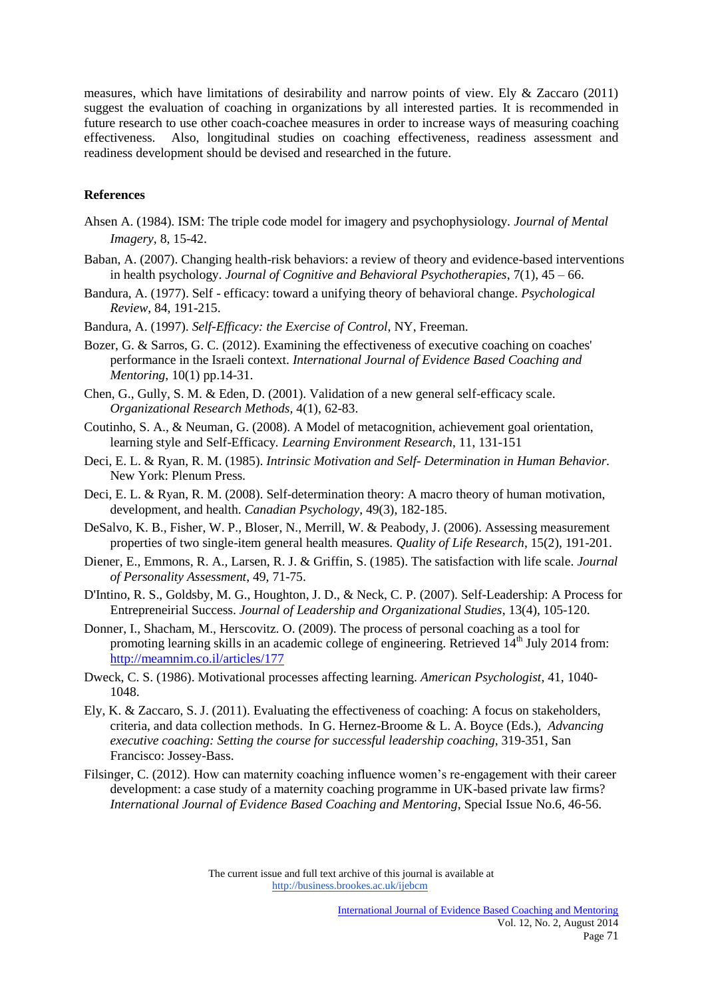measures, which have limitations of desirability and narrow points of view. Ely & Zaccaro (2011) suggest the evaluation of coaching in organizations by all interested parties. It is recommended in future research to use other coach-coachee measures in order to increase ways of measuring coaching effectiveness. Also, longitudinal studies on coaching effectiveness, readiness assessment and readiness development should be devised and researched in the future.

## **References**

- Ahsen A. (1984)*.* ISM: The triple code model for imagery and psychophysiology. *Journal of Mental Imagery*, 8, 15-42.
- Baban, A. (2007). Changing health-risk behaviors: a review of theory and evidence-based interventions in health psychology. *Journal of Cognitive and Behavioral Psychotherapies*, 7(1), 45 – 66.
- Bandura, A. (1977). Self efficacy: toward a unifying theory of behavioral change. *Psychological Review*, 84, 191-215.
- Bandura, A. (1997). *Self-Efficacy: the Exercise of Control*, NY, Freeman.
- Bozer, G. & Sarros, G. C. (2012). Examining the effectiveness of executive coaching on coaches' performance in the Israeli context. *International Journal of Evidence Based Coaching and Mentoring*, 10(1) pp.14-31.
- Chen, G., Gully, S. M. & Eden, D. (2001). Validation of a new general self-efficacy scale. *Organizational Research Methods,* 4(1), 62-83.
- Coutinho, S. A., & Neuman, G. (2008). A Model of metacognition, achievement goal orientation, learning style and Self-Efficacy*. Learning Environment Research*, 11, 131-151
- Deci, E. L. & Ryan, R. M. (1985). *Intrinsic Motivation and Self- Determination in Human Behavior.* New York: Plenum Press.
- Deci, E. L. & Ryan, R. M. (2008). Self-determination theory: A macro theory of human motivation, development, and health. *Canadian Psychology*, 49(3), 182-185.
- DeSalvo, K. B., Fisher, W. P., Bloser, N., Merrill, W. & Peabody, J. (2006). Assessing measurement properties of two single-item general health measures*. Quality of Life Research*, 15(2), 191-201.
- Diener, E., Emmons, R. A., Larsen, R. J. & Griffin, S. (1985). The satisfaction with life scale. *Journal of Personality Assessment*, 49, 71-75.
- D'Intino, R. S., Goldsby, M. G., Houghton, J. D., & Neck, C. P. (2007). Self-Leadership: A Process for Entrepreneirial Success. *Journal of Leadership and Organizational Studies*, 13(4), 105-120.
- Donner, I., Shacham, M., Herscovitz. O. (2009). The process of personal coaching as a tool for promoting learning skills in an academic college of engineering. Retrieved  $14<sup>th</sup>$  July 2014 from: <http://meamnim.co.il/articles/177>
- Dweck, C. S. (1986). Motivational processes affecting learning. *American Psychologist*, 41, 1040- 1048.
- Ely, K. & Zaccaro, S. J. (2011). Evaluating the effectiveness of coaching: A focus on stakeholders, criteria, and data collection methods. In G. Hernez-Broome & L. A. Boyce (Eds.), *Advancing executive coaching: Setting the course for successful leadership coaching*, 319-351, San Francisco: Jossey-Bass.
- Filsinger, C. (2012). How can maternity coaching influence women's re-engagement with their career development: a case study of a maternity coaching programme in UK-based private law firms? *International Journal of Evidence Based Coaching and Mentoring*, Special Issue No.6, 46-56.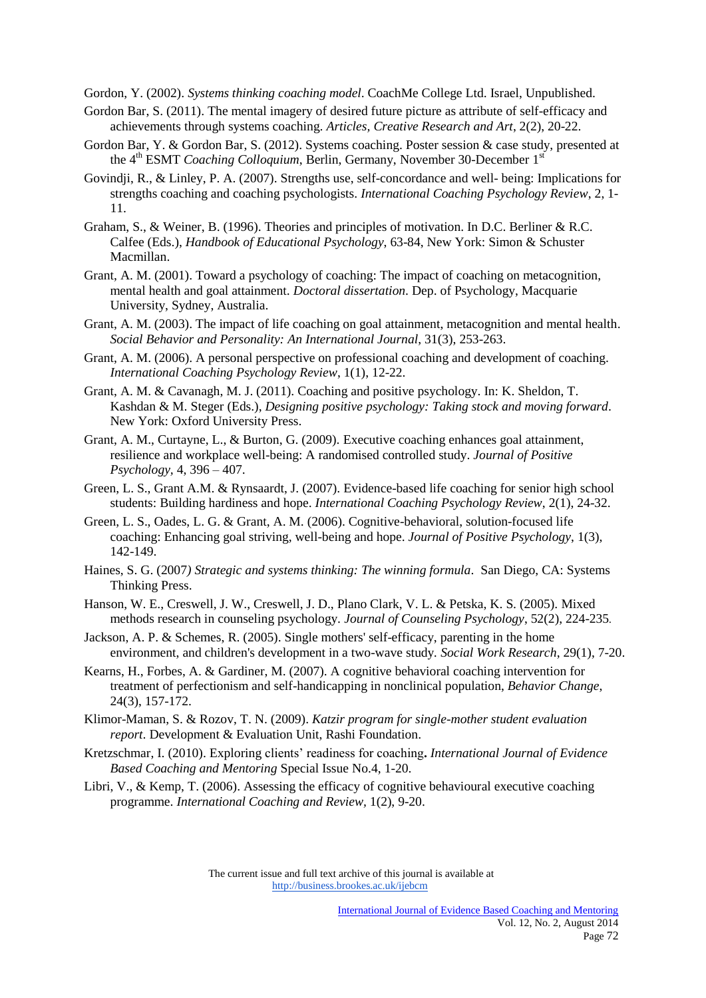Gordon, Y. (2002). *Systems thinking coaching model*. CoachMe College Ltd. Israel, Unpublished.

- Gordon Bar, S. (2011). The mental imagery of desired future picture as attribute of self-efficacy and achievements through systems coaching. *Articles, Creative Research and Art*, 2(2), 20-22.
- Gordon Bar, Y. & Gordon Bar, S. (2012). Systems coaching. Poster session & case study, presented at the 4<sup>th</sup> ESMT *Coaching Colloquium*, Berlin, Germany, November 30-December 1<sup>st</sup>
- Govindji, R., & Linley, P. A. (2007). Strengths use, self-concordance and well- being: Implications for strengths coaching and coaching psychologists. *International Coaching Psychology Review*, 2, 1- 11.
- Graham, S., & Weiner, B. (1996). Theories and principles of motivation. In D.C. Berliner & R.C. Calfee (Eds.), *Handbook of Educational Psychology*, 63-84, New York: Simon & Schuster Macmillan.
- Grant, A. M. (2001). Toward a psychology of coaching: The impact of coaching on metacognition, mental health and goal attainment. *Doctoral dissertation*. Dep. of Psychology, Macquarie University, Sydney, Australia.
- Grant, A. M. (2003). The impact of life coaching on goal attainment, metacognition and mental health. *Social Behavior and Personality: An International Journal*, 31(3), 253-263.
- Grant, A. M. (2006). A personal perspective on professional coaching and development of coaching. *International Coaching Psychology Review*, 1(1), 12-22.
- Grant, A. M. & Cavanagh, M. J. (2011). Coaching and positive psychology. In: K. Sheldon, T. Kashdan & M. Steger (Eds.), *Designing positive psychology: Taking stock and moving forward*. New York: Oxford University Press.
- Grant, A. M., Curtayne, L., & Burton, G. (2009). Executive coaching enhances goal attainment, resilience and workplace well-being: A randomised controlled study. *Journal of Positive Psychology,* 4, 396 – 407.
- Green, L. S., Grant A.M. & Rynsaardt, J. (2007). Evidence-based life coaching for senior high school students: Building hardiness and hope. *International Coaching Psychology Review*, 2(1), 24-32.
- Green, L. S., Oades, L. G. & Grant, A. M. (2006). Cognitive-behavioral, solution-focused life coaching: Enhancing goal striving, well-being and hope. *Journal of Positive Psychology*, 1(3), 142-149.
- Haines, S. G. (2007*) Strategic and systems thinking: The winning formula*. San Diego, CA: Systems Thinking Press.
- Hanson, W. E., Creswell, J. W., Creswell, J. D., Plano Clark, V. L. & Petska, K. S. (2005). Mixed methods research in counseling psychology. *Journal of Counseling Psychology*, 52(2), 224-235*.*
- [Jackson, A. P.](http://psycnet.apa.org/index.cfm?fa=search.searchResults&latSearchType=a&term=Jackson,%20Aurora%20P.) [& Schemes, R.](http://psycnet.apa.org/index.cfm?fa=search.searchResults&latSearchType=a&term=Schemes,%20Richard) (2005). Single mothers' self-efficacy, parenting in the home environment, and children's development in a two-wave study*. Social Work Research*, 29(1), 7-20.
- Kearns, H., Forbes, A. & Gardiner, M. (2007). A cognitive behavioral coaching intervention for treatment of perfectionism and self-handicapping in nonclinical population, *Behavior Change*, 24(3), 157-172.
- Klimor-Maman, S. & Rozov, T. N. (2009). *Katzir program for single-mother student evaluation report*. Development & Evaluation Unit, Rashi Foundation.
- Kretzschmar, I. (2010). Exploring clients' readiness for coaching**.** *International Journal of Evidence Based Coaching and Mentoring* Special Issue No.4, 1-20.
- Libri, V., & Kemp, T. (2006). Assessing the efficacy of cognitive behavioural executive coaching programme. *International Coaching and Review,* 1(2), 9-20.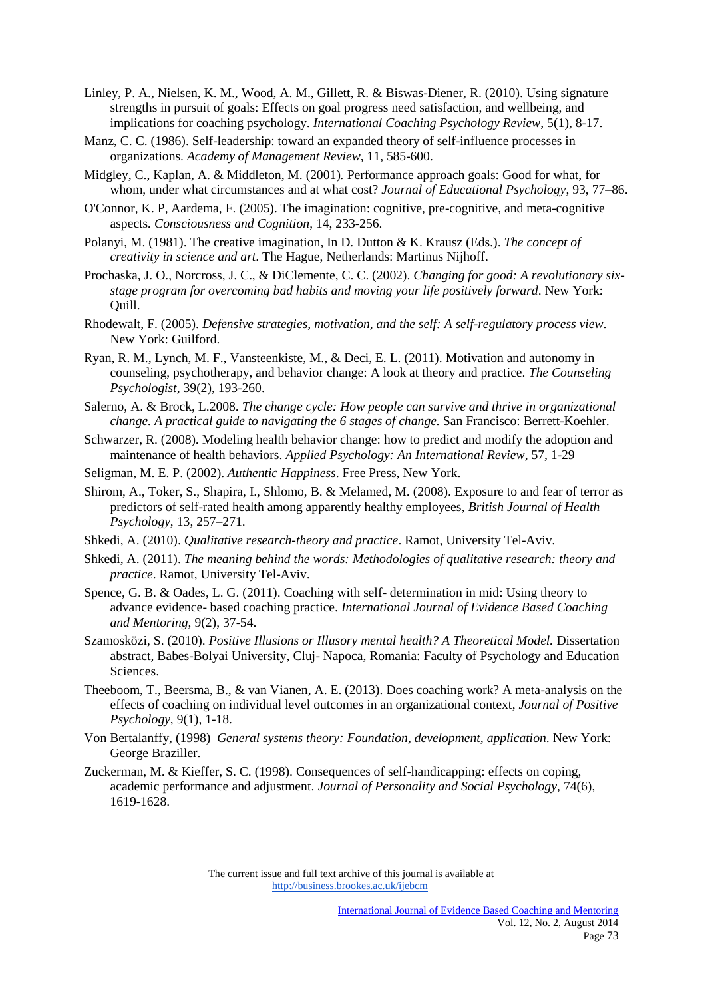- Linley, P. A., Nielsen, K. M., Wood, A. M., Gillett, R. & Biswas-Diener, R. (2010). Using signature strengths in pursuit of goals: Effects on goal progress need satisfaction, and wellbeing, and implications for coaching psychology. *International Coaching Psychology Review*, 5(1), 8-17.
- Manz, C. C. (1986). Self-leadership: toward an expanded theory of self-influence processes in organizations. *Academy of Management Review*, 11, 585-600.
- Midgley, C., Kaplan, A. & Middleton, M. (2001)*.* Performance approach goals: Good for what, for whom, under what circumstances and at what cost? *Journal of Educational Psychology*, 93, 77–86.
- O'Connor, K. P, Aardema, F. (2005). The imagination: cognitive, pre-cognitive, and meta-cognitive aspects*. Consciousness and Cognition*, 14, 233-256.
- Polanyi, M. (1981). The creative imagination*,* In D. Dutton & K. Krausz (Eds.). *The concept of creativity in science and art*. The Hague, Netherlands: Martinus Nijhoff.
- Prochaska, J. O., Norcross, J. C., & DiClemente, C. C. (2002). *Changing for good: A revolutionary sixstage program for overcoming bad habits and moving your life positively forward*. New York: Quill.
- Rhodewalt, F. (2005). *Defensive strategies, motivation, and the self: A self-regulatory process view*. New York: Guilford.
- Ryan, R. M., Lynch, M. F., Vansteenkiste, M., & Deci, E. L. (2011). Motivation and autonomy in counseling, psychotherapy, and behavior change: A look at theory and practice. *The Counseling Psychologist*, 39(2), 193-260.
- Salerno, A. & Brock, L.2008. *The change cycle: How people can survive and thrive in organizational change. A practical guide to navigating the 6 stages of change.* San Francisco: Berrett-Koehler.
- Schwarzer, R. (2008)*.* Modeling health behavior change: how to predict and modify the adoption and maintenance of health behaviors. *Applied Psychology: An International Review*, 57, 1-29
- Seligman, M. E. P. (2002). *Authentic Happiness*. Free Press, New York.
- Shirom, A., Toker, S., Shapira, I., Shlomo, B. & Melamed, M. (2008). Exposure to and fear of terror as predictors of self-rated health among apparently healthy employees, *British Journal of Health Psychology*, 13, 257–271.
- Shkedi, A. (2010). *Qualitative research-theory and practice*. Ramot, University Tel-Aviv.
- Shkedi, A. (2011). *The meaning behind the words: Methodologies of qualitative research: theory and practice*. Ramot, University Tel-Aviv.
- Spence, G. B. & Oades, L. G. (2011). Coaching with self- determination in mid: Using theory to advance evidence- based coaching practice. *International Journal of Evidence Based Coaching and Mentoring*, 9(2), 37-54.
- Szamosközi, S. (2010). *Positive Illusions or Illusory mental health? A Theoretical Model.* Dissertation abstract*,* Babes-Bolyai University, Cluj- Napoca, Romania: Faculty of Psychology and Education Sciences.
- Theeboom, T., Beersma, B., & van Vianen, A. E. (2013). Does coaching work? A meta-analysis on the effects of coaching on individual level outcomes in an organizational context, *Journal of Positive Psychology*, 9(1), 1-18.
- Von Bertalanffy, (1998) *General systems theory: Foundation, development, application*. New York: George Braziller.
- Zuckerman, M. & Kieffer, S. C. (1998). Consequences of self-handicapping: effects on coping, academic performance and adjustment. *Journal of Personality and Social Psychology*, 74(6), 1619-1628.